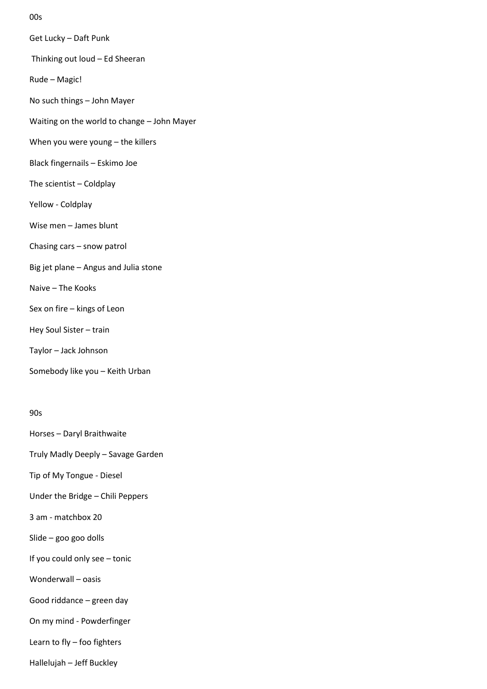00s

Get Lucky – Daft Punk

Thinking out loud – Ed Sheeran

Rude – Magic!

No such things – John Mayer

Waiting on the world to change – John Mayer

- When you were young the killers
- Black fingernails Eskimo Joe
- The scientist Coldplay
- Yellow Coldplay
- Wise men James blunt
- Chasing cars snow patrol
- Big jet plane Angus and Julia stone
- Naive The Kooks
- Sex on fire kings of Leon
- Hey Soul Sister train
- Taylor Jack Johnson
- Somebody like you Keith Urban

## 90s

- Horses Daryl Braithwaite Truly Madly Deeply – Savage Garden Tip of My Tongue - Diesel Under the Bridge – Chili Peppers 3 am - matchbox 20 Slide – goo goo dolls If you could only see – tonic Wonderwall – oasis Good riddance – green day On my mind - Powderfinger
- Learn to fly foo fighters
- Hallelujah Jeff Buckley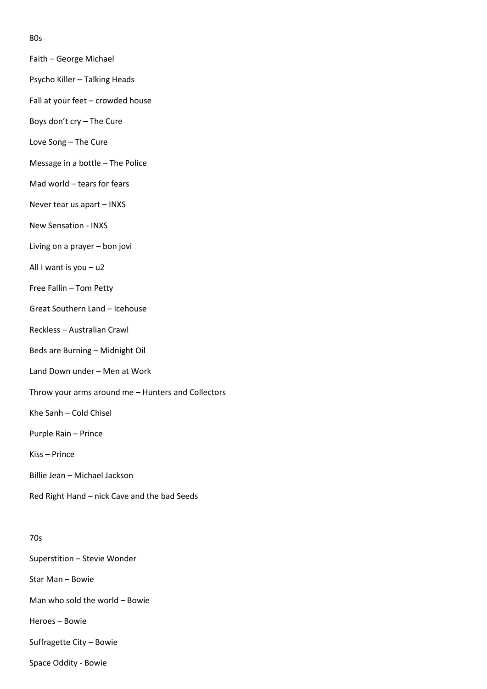80s

- Faith George Michael
- Psycho Killer Talking Heads
- Fall at your feet crowded house
- Boys don't cry The Cure
- Love Song The Cure
- Message in a bottle The Police
- Mad world tears for fears
- Never tear us apart INXS
- New Sensation INXS
- Living on a prayer bon jovi
- All I want is you u2
- Free Fallin Tom Petty
- Great Southern Land Icehouse
- Reckless Australian Crawl
- Beds are Burning Midnight Oil
- Land Down under Men at Work
- Throw your arms around me Hunters and Collectors
- Khe Sanh Cold Chisel
- Purple Rain Prince
- Kiss Prince
- Billie Jean Michael Jackson
- Red Right Hand nick Cave and the bad Seeds

## 70s

- Superstition Stevie Wonder
- Star Man Bowie
- Man who sold the world Bowie
- Heroes Bowie
- Suffragette City Bowie
- Space Oddity Bowie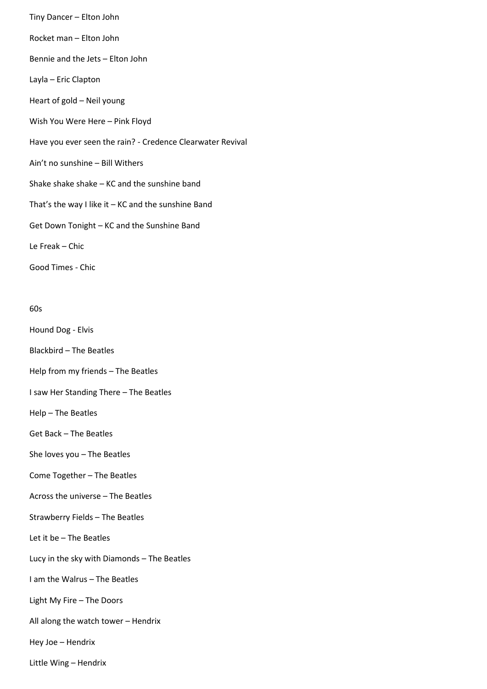Tiny Dancer – Elton John Rocket man – Elton John Bennie and the Jets – Elton John Layla – Eric Clapton Heart of gold – Neil young Wish You Were Here – Pink Floyd Have you ever seen the rain? - Credence Clearwater Revival Ain't no sunshine – Bill Withers Shake shake shake  $-$  KC and the sunshine band That's the way I like it – KC and the sunshine Band Get Down Tonight – KC and the Sunshine Band Le Freak – Chic Good Times - Chic

## 60s

Hound Dog - Elvis Blackbird – The Beatles Help from my friends – The Beatles I saw Her Standing There – The Beatles Help – The Beatles Get Back – The Beatles She loves you – The Beatles Come Together – The Beatles Across the universe – The Beatles Strawberry Fields – The Beatles Let it be – The Beatles Lucy in the sky with Diamonds – The Beatles I am the Walrus – The Beatles Light My Fire – The Doors All along the watch tower – Hendrix Hey Joe – Hendrix

Little Wing – Hendrix